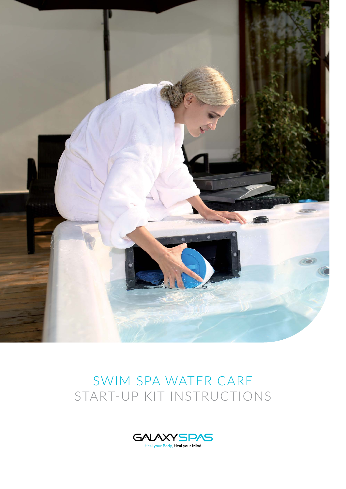

# SWIM SPA WATER CARE START-UP KIT INSTRUCTIONS

![](_page_0_Picture_2.jpeg)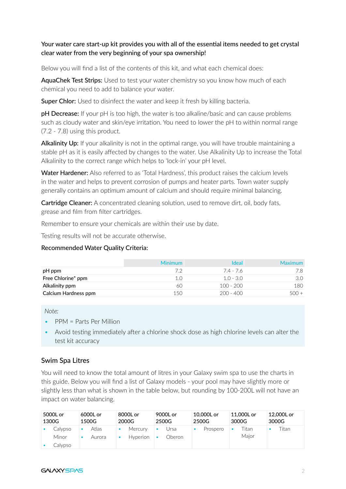## Your water care start-up kit provides you with all of the essential items needed to get crystal clear water from the very beginning of your spa ownership!

Below you will find a list of the contents of this kit, and what each chemical does:

AquaChek Test Strips: Used to test your water chemistry so you know how much of each chemical you need to add to balance your water.

**Super Chlor:** Used to disinfect the water and keep it fresh by killing bacteria.

**pH Decrease:** If your pH is too high, the water is too alkaline/basic and can cause problems such as cloudy water and skin/eye irritation. You need to lower the pH to within normal range (7.2 - 7.8) using this product.

Alkalinity Up: If your alkalinity is not in the optimal range, you will have trouble maintaining a stable pH as it is easily affected by changes to the water. Use Alkalinity Up to increase the Total Alkalinity to the correct range which helps to 'lock-in' your pH level.

Water Hardener: Also referred to as 'Total Hardness', this product raises the calcium levels in the water and helps to prevent corrosion of pumps and heater parts. Town water supply generally contains an optimum amount of calcium and should require minimal balancing.

Cartridge Cleaner: A concentrated cleaning solution, used to remove dirt, oil, body fats, grease and film from filter cartridges.

Remember to ensure your chemicals are within their use by date.

Testing results will not be accurate otherwise.

#### Recommended Water Quality Criteria:

|                      | <b>Minimum</b> | <b>Ideal</b> | <b>Maximum</b> |
|----------------------|----------------|--------------|----------------|
| pH ppm               | フク             | 74-76        | 7.8            |
| Free Chlorine* ppm   | 1(0)           | $1.0 - 3.0$  | 3.0            |
| Alkalinity ppm       | 60             | $100 - 200$  | 180            |
| Calcium Hardness ppm | 150            | $200 - 400$  | 500 +          |

#### *Note:*

- PPM = Parts Per Million
- Avoid testing immediately after a chlorine shock dose as high chlorine levels can alter the test kit accuracy

#### Swim Spa Litres

You will need to know the total amount of litres in your Galaxy swim spa to use the charts in this guide. Below you will find a list of Galaxy models - your pool may have slightly more or slightly less than what is shown in the table below, but rounding by 100-200L will not have an impact on water balancing.

| 5000L or<br>1300G | 1500G | 6000L or |   | 8000L or<br>2000G | 9000L or<br>2500G | 10,000L or<br>2500G | 11.000L or<br>3000G | 12,000L or<br>3000G |
|-------------------|-------|----------|---|-------------------|-------------------|---------------------|---------------------|---------------------|
| Calvpso           |       | Atlas    |   | Mercury           | Ursa              | Prospero            | Titan<br>Maior      | Titan               |
| Minor<br>Calypso  |       | Aurora   | ۰ | <b>Hyperion</b>   | Oberon            |                     |                     |                     |

![](_page_1_Picture_18.jpeg)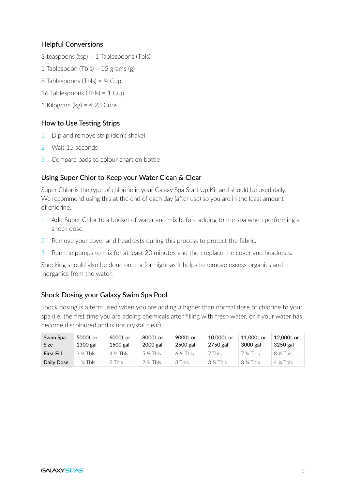### Helpful Conversions

- 3 teaspoons (tsp) = 1 Tablespoons (Tbls)
- 1 Tablespoon (Tbls) =  $15$  grams (g)
- 8 Tablespoons (Tbls) =  $\frac{1}{2}$  Cup
- 16 Tablespoons (Tbls) = 1 Cup
- 1 Kilogram (kg) =  $4.23$  Cups

# How to Use Testing Strips

- 1 Dip and remove strip (don't shake)
- 2 Wait 15 seconds
- 3 Compare pads to colour chart on bottle

# Using Super Chlor to Keep your Water Clean & Clear

Super Chlor is the type of chlorine in your Galaxy Spa Start Up Kit and should be used daily. We recommend using this at the end of each day (after use) so you are in the least amount of chlorine.

- 1 Add Super Chlor to a bucket of water and mix before adding to the spa when performing a shock dose.
- 2 Remove your cover and headrests during this process to protect the fabric.
- 3 Run the pumps to mix for at least 20 minutes and then replace the cover and headrests.

Shocking should also be done once a fortnight as it helps to remove excess organics and inorganics from the water.

# Shock Dosing your Galaxy Swim Spa Pool

Shock dosing is a term used when you are adding a higher than normal dose of chlorine to your spa (i.e. the first time you are adding chemicals after filling with fresh water, or if your water has become discoloured and is not crystal clear).

| Swim Spa<br><b>Size</b> | 5000L or<br>$1300$ gal | 6000L or<br>$1500$ gal | 8000L or<br>2000 gal | 9000L or<br>2500 gal | 10,000L or<br>$2750$ gal | 11.000L or<br>3000 gal | 12.000L or<br>3250 gal |
|-------------------------|------------------------|------------------------|----------------------|----------------------|--------------------------|------------------------|------------------------|
| <b>First Fill</b>       | 3 ½ Tbls               | $4\frac{1}{4}$ Tbls    | $5\%$ Tbls           | $6\frac{1}{4}$ Tbls  | <b>This</b>              | $7\frac{3}{4}$ Tbls    | $8\%$ Tbls             |
| Daily Dose              | 1 $\frac{3}{4}$ Tbls   | 2 This                 | $2\frac{3}{4}$ Tbls  | 3 Tbls               | $3\%$ This               | $3\%$ Tbls             | $4\frac{1}{4}$ Tbls    |